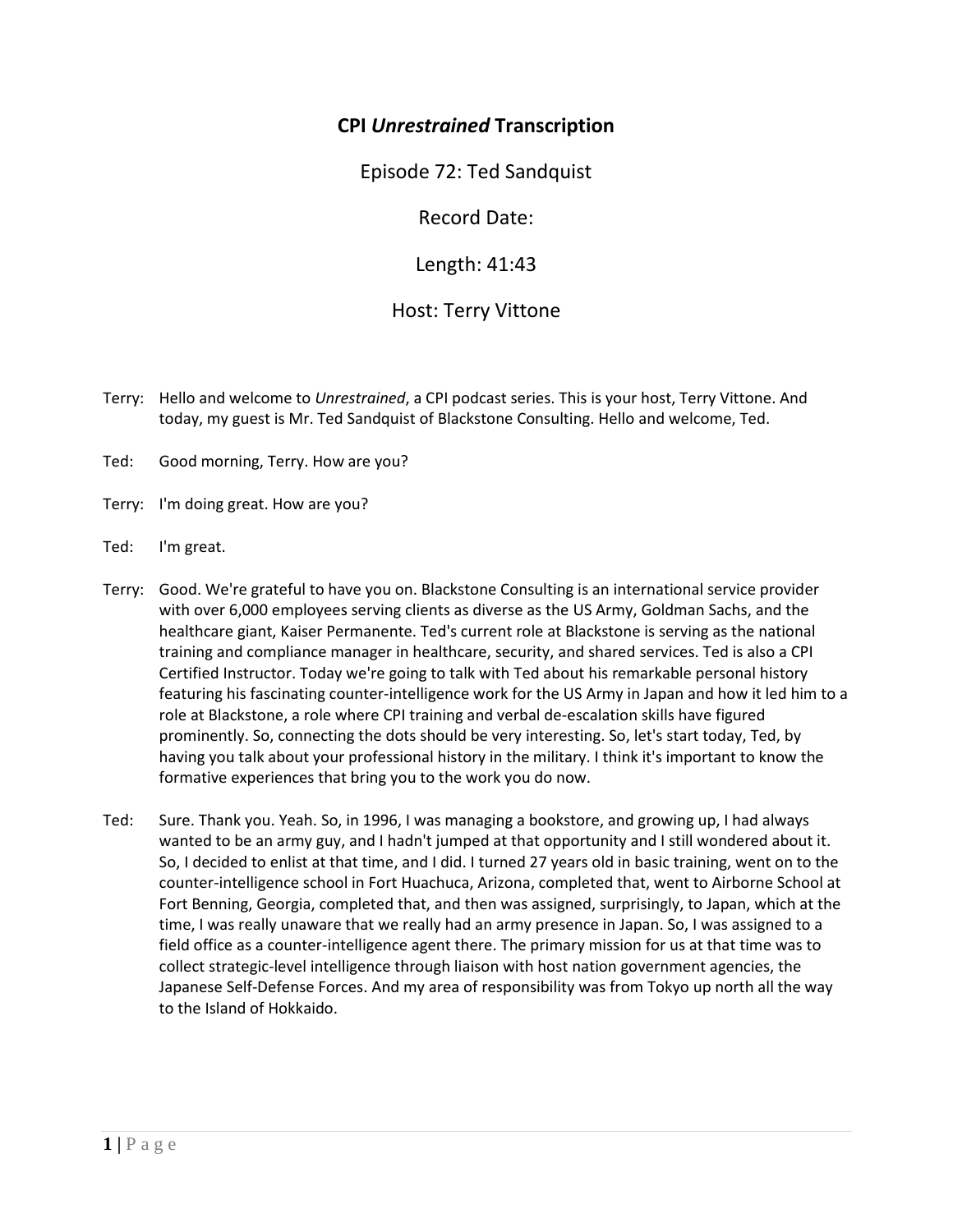## **CPI** *Unrestrained* **Transcription**

Episode 72: Ted Sandquist

Record Date:

Length: 41:43

## Host: Terry Vittone

- Terry: Hello and welcome to *Unrestrained*, a CPI podcast series. This is your host, Terry Vittone. And today, my guest is Mr. Ted Sandquist of Blackstone Consulting. Hello and welcome, Ted.
- Ted: Good morning, Terry. How are you?
- Terry: I'm doing great. How are you?
- Ted: I'm great.
- Terry: Good. We're grateful to have you on. Blackstone Consulting is an international service provider with over 6,000 employees serving clients as diverse as the US Army, Goldman Sachs, and the healthcare giant, Kaiser Permanente. Ted's current role at Blackstone is serving as the national training and compliance manager in healthcare, security, and shared services. Ted is also a CPI Certified Instructor. Today we're going to talk with Ted about his remarkable personal history featuring his fascinating counter-intelligence work for the US Army in Japan and how it led him to a role at Blackstone, a role where CPI training and verbal de-escalation skills have figured prominently. So, connecting the dots should be very interesting. So, let's start today, Ted, by having you talk about your professional history in the military. I think it's important to know the formative experiences that bring you to the work you do now.
- Ted: Sure. Thank you. Yeah. So, in 1996, I was managing a bookstore, and growing up, I had always wanted to be an army guy, and I hadn't jumped at that opportunity and I still wondered about it. So, I decided to enlist at that time, and I did. I turned 27 years old in basic training, went on to the counter-intelligence school in Fort Huachuca, Arizona, completed that, went to Airborne School at Fort Benning, Georgia, completed that, and then was assigned, surprisingly, to Japan, which at the time, I was really unaware that we really had an army presence in Japan. So, I was assigned to a field office as a counter-intelligence agent there. The primary mission for us at that time was to collect strategic-level intelligence through liaison with host nation government agencies, the Japanese Self-Defense Forces. And my area of responsibility was from Tokyo up north all the way to the Island of Hokkaido.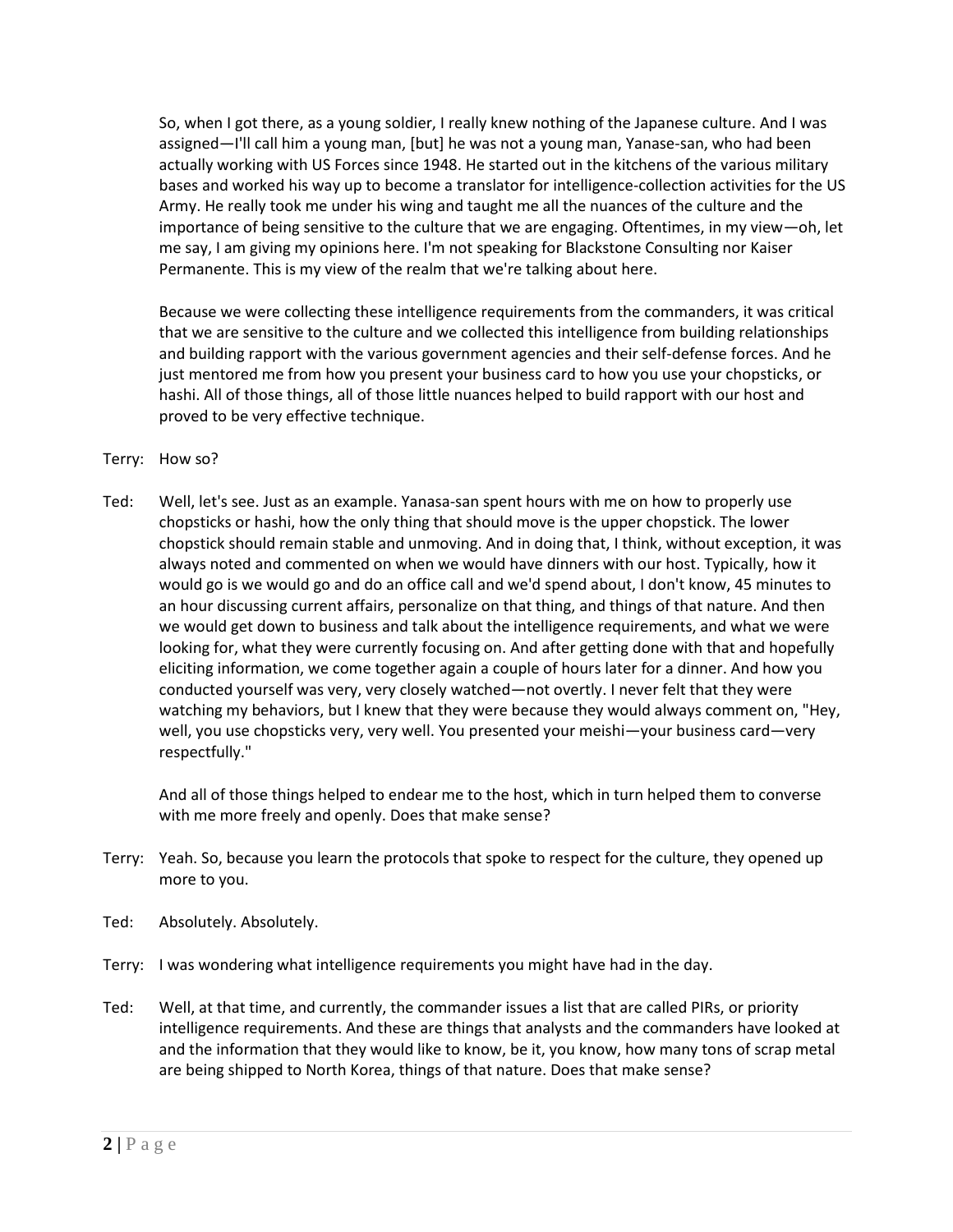So, when I got there, as a young soldier, I really knew nothing of the Japanese culture. And I was assigned—I'll call him a young man, [but] he was not a young man, Yanase-san, who had been actually working with US Forces since 1948. He started out in the kitchens of the various military bases and worked his way up to become a translator for intelligence-collection activities for the US Army. He really took me under his wing and taught me all the nuances of the culture and the importance of being sensitive to the culture that we are engaging. Oftentimes, in my view—oh, let me say, I am giving my opinions here. I'm not speaking for Blackstone Consulting nor Kaiser Permanente. This is my view of the realm that we're talking about here.

Because we were collecting these intelligence requirements from the commanders, it was critical that we are sensitive to the culture and we collected this intelligence from building relationships and building rapport with the various government agencies and their self-defense forces. And he just mentored me from how you present your business card to how you use your chopsticks, or hashi. All of those things, all of those little nuances helped to build rapport with our host and proved to be very effective technique.

## Terry: How so?

Ted: Well, let's see. Just as an example. Yanasa-san spent hours with me on how to properly use chopsticks or hashi, how the only thing that should move is the upper chopstick. The lower chopstick should remain stable and unmoving. And in doing that, I think, without exception, it was always noted and commented on when we would have dinners with our host. Typically, how it would go is we would go and do an office call and we'd spend about, I don't know, 45 minutes to an hour discussing current affairs, personalize on that thing, and things of that nature. And then we would get down to business and talk about the intelligence requirements, and what we were looking for, what they were currently focusing on. And after getting done with that and hopefully eliciting information, we come together again a couple of hours later for a dinner. And how you conducted yourself was very, very closely watched—not overtly. I never felt that they were watching my behaviors, but I knew that they were because they would always comment on, "Hey, well, you use chopsticks very, very well. You presented your meishi—your business card—very respectfully."

And all of those things helped to endear me to the host, which in turn helped them to converse with me more freely and openly. Does that make sense?

- Terry: Yeah. So, because you learn the protocols that spoke to respect for the culture, they opened up more to you.
- Ted: Absolutely. Absolutely.
- Terry: I was wondering what intelligence requirements you might have had in the day.
- Ted: Well, at that time, and currently, the commander issues a list that are called PIRs, or priority intelligence requirements. And these are things that analysts and the commanders have looked at and the information that they would like to know, be it, you know, how many tons of scrap metal are being shipped to North Korea, things of that nature. Does that make sense?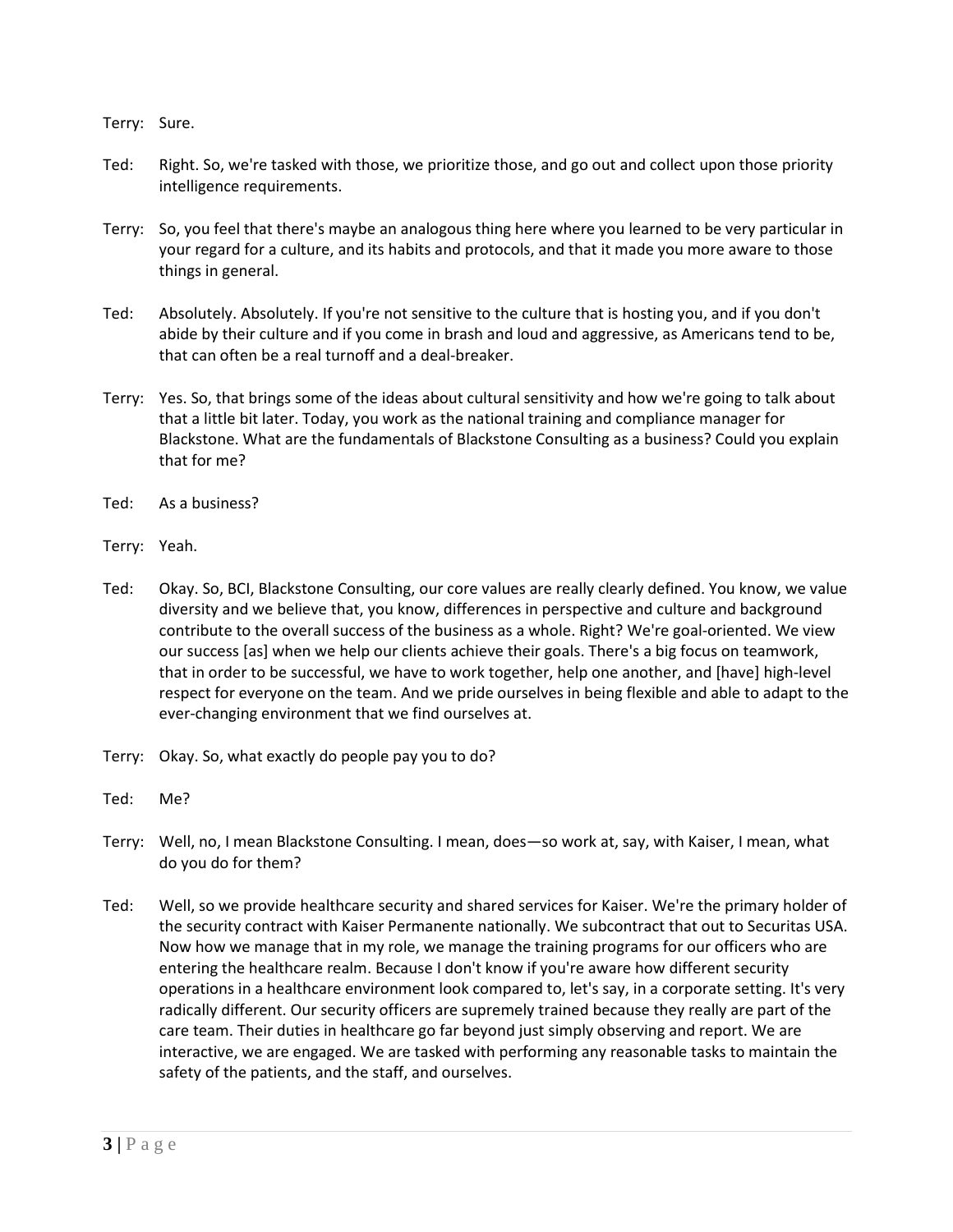Terry: Sure.

- Ted: Right. So, we're tasked with those, we prioritize those, and go out and collect upon those priority intelligence requirements.
- Terry: So, you feel that there's maybe an analogous thing here where you learned to be very particular in your regard for a culture, and its habits and protocols, and that it made you more aware to those things in general.
- Ted: Absolutely. Absolutely. If you're not sensitive to the culture that is hosting you, and if you don't abide by their culture and if you come in brash and loud and aggressive, as Americans tend to be, that can often be a real turnoff and a deal-breaker.
- Terry: Yes. So, that brings some of the ideas about cultural sensitivity and how we're going to talk about that a little bit later. Today, you work as the national training and compliance manager for Blackstone. What are the fundamentals of Blackstone Consulting as a business? Could you explain that for me?
- Ted: As a business?
- Terry: Yeah.
- Ted: Okay. So, BCI, Blackstone Consulting, our core values are really clearly defined. You know, we value diversity and we believe that, you know, differences in perspective and culture and background contribute to the overall success of the business as a whole. Right? We're goal-oriented. We view our success [as] when we help our clients achieve their goals. There's a big focus on teamwork, that in order to be successful, we have to work together, help one another, and [have] high-level respect for everyone on the team. And we pride ourselves in being flexible and able to adapt to the ever-changing environment that we find ourselves at.
- Terry: Okay. So, what exactly do people pay you to do?
- Ted: Me?
- Terry: Well, no, I mean Blackstone Consulting. I mean, does—so work at, say, with Kaiser, I mean, what do you do for them?
- Ted: Well, so we provide healthcare security and shared services for Kaiser. We're the primary holder of the security contract with Kaiser Permanente nationally. We subcontract that out to Securitas USA. Now how we manage that in my role, we manage the training programs for our officers who are entering the healthcare realm. Because I don't know if you're aware how different security operations in a healthcare environment look compared to, let's say, in a corporate setting. It's very radically different. Our security officers are supremely trained because they really are part of the care team. Their duties in healthcare go far beyond just simply observing and report. We are interactive, we are engaged. We are tasked with performing any reasonable tasks to maintain the safety of the patients, and the staff, and ourselves.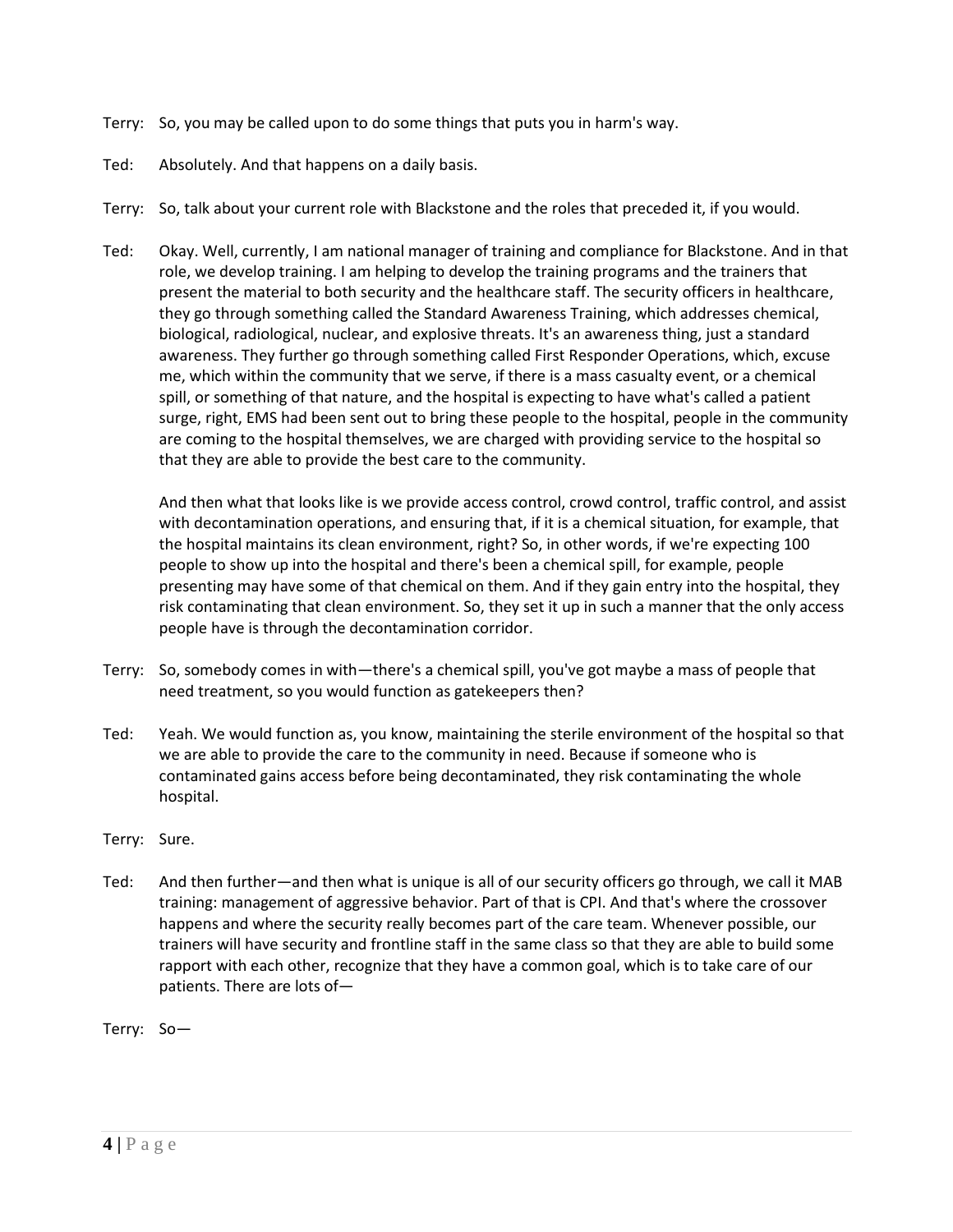- Terry: So, you may be called upon to do some things that puts you in harm's way.
- Ted: Absolutely. And that happens on a daily basis.
- Terry: So, talk about your current role with Blackstone and the roles that preceded it, if you would.
- Ted: Okay. Well, currently, I am national manager of training and compliance for Blackstone. And in that role, we develop training. I am helping to develop the training programs and the trainers that present the material to both security and the healthcare staff. The security officers in healthcare, they go through something called the Standard Awareness Training, which addresses chemical, biological, radiological, nuclear, and explosive threats. It's an awareness thing, just a standard awareness. They further go through something called First Responder Operations, which, excuse me, which within the community that we serve, if there is a mass casualty event, or a chemical spill, or something of that nature, and the hospital is expecting to have what's called a patient surge, right, EMS had been sent out to bring these people to the hospital, people in the community are coming to the hospital themselves, we are charged with providing service to the hospital so that they are able to provide the best care to the community.

And then what that looks like is we provide access control, crowd control, traffic control, and assist with decontamination operations, and ensuring that, if it is a chemical situation, for example, that the hospital maintains its clean environment, right? So, in other words, if we're expecting 100 people to show up into the hospital and there's been a chemical spill, for example, people presenting may have some of that chemical on them. And if they gain entry into the hospital, they risk contaminating that clean environment. So, they set it up in such a manner that the only access people have is through the decontamination corridor.

- Terry: So, somebody comes in with—there's a chemical spill, you've got maybe a mass of people that need treatment, so you would function as gatekeepers then?
- Ted: Yeah. We would function as, you know, maintaining the sterile environment of the hospital so that we are able to provide the care to the community in need. Because if someone who is contaminated gains access before being decontaminated, they risk contaminating the whole hospital.
- Terry: Sure.
- Ted: And then further—and then what is unique is all of our security officers go through, we call it MAB training: management of aggressive behavior. Part of that is CPI. And that's where the crossover happens and where the security really becomes part of the care team. Whenever possible, our trainers will have security and frontline staff in the same class so that they are able to build some rapport with each other, recognize that they have a common goal, which is to take care of our patients. There are lots of—

Terry: So—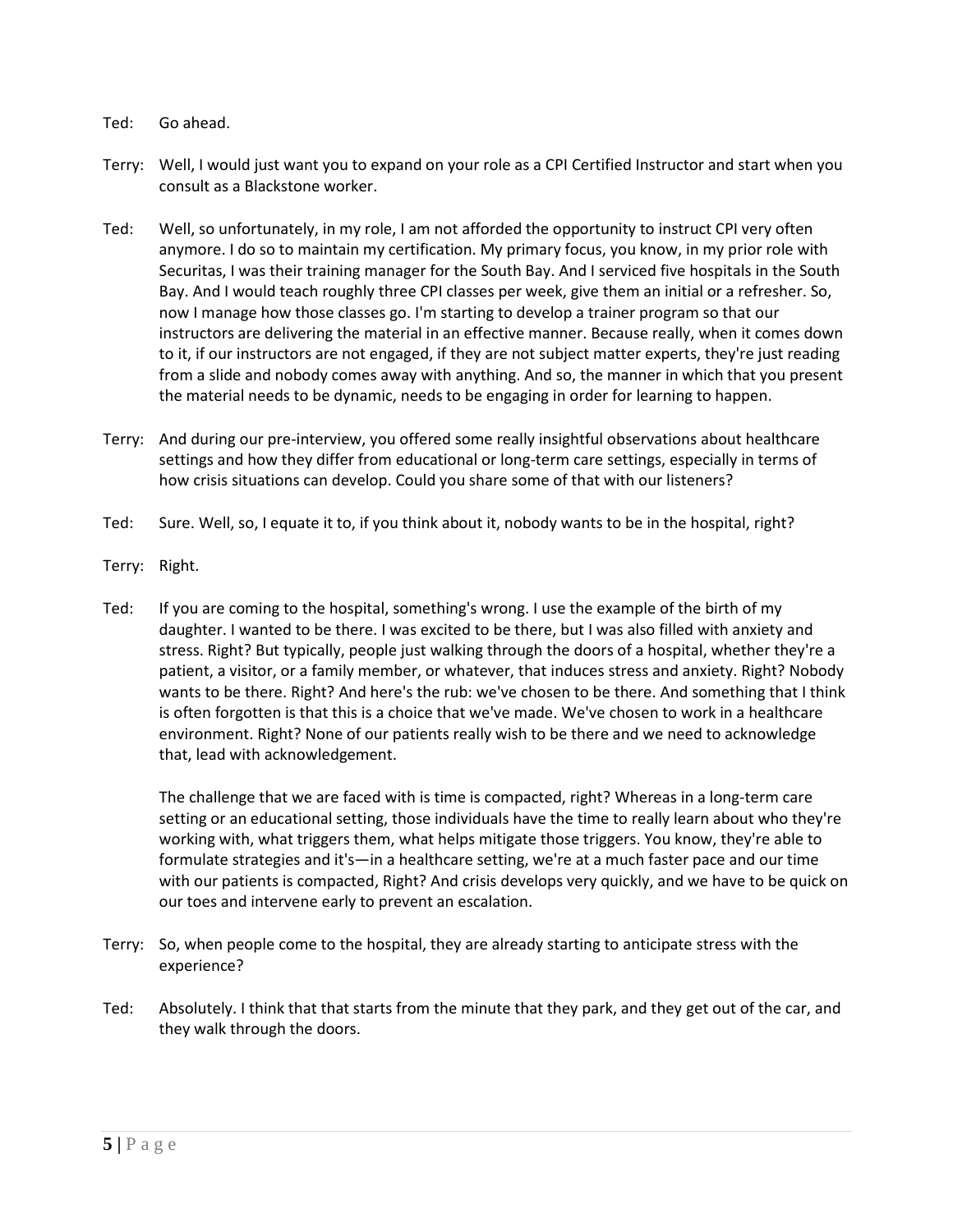- Ted: Go ahead.
- Terry: Well, I would just want you to expand on your role as a CPI Certified Instructor and start when you consult as a Blackstone worker.
- Ted: Well, so unfortunately, in my role, I am not afforded the opportunity to instruct CPI very often anymore. I do so to maintain my certification. My primary focus, you know, in my prior role with Securitas, I was their training manager for the South Bay. And I serviced five hospitals in the South Bay. And I would teach roughly three CPI classes per week, give them an initial or a refresher. So, now I manage how those classes go. I'm starting to develop a trainer program so that our instructors are delivering the material in an effective manner. Because really, when it comes down to it, if our instructors are not engaged, if they are not subject matter experts, they're just reading from a slide and nobody comes away with anything. And so, the manner in which that you present the material needs to be dynamic, needs to be engaging in order for learning to happen.
- Terry: And during our pre-interview, you offered some really insightful observations about healthcare settings and how they differ from educational or long-term care settings, especially in terms of how crisis situations can develop. Could you share some of that with our listeners?
- Ted: Sure. Well, so, I equate it to, if you think about it, nobody wants to be in the hospital, right?
- Terry: Right.
- Ted: If you are coming to the hospital, something's wrong. I use the example of the birth of my daughter. I wanted to be there. I was excited to be there, but I was also filled with anxiety and stress. Right? But typically, people just walking through the doors of a hospital, whether they're a patient, a visitor, or a family member, or whatever, that induces stress and anxiety. Right? Nobody wants to be there. Right? And here's the rub: we've chosen to be there. And something that I think is often forgotten is that this is a choice that we've made. We've chosen to work in a healthcare environment. Right? None of our patients really wish to be there and we need to acknowledge that, lead with acknowledgement.

The challenge that we are faced with is time is compacted, right? Whereas in a long-term care setting or an educational setting, those individuals have the time to really learn about who they're working with, what triggers them, what helps mitigate those triggers. You know, they're able to formulate strategies and it's—in a healthcare setting, we're at a much faster pace and our time with our patients is compacted, Right? And crisis develops very quickly, and we have to be quick on our toes and intervene early to prevent an escalation.

- Terry: So, when people come to the hospital, they are already starting to anticipate stress with the experience?
- Ted: Absolutely. I think that that starts from the minute that they park, and they get out of the car, and they walk through the doors.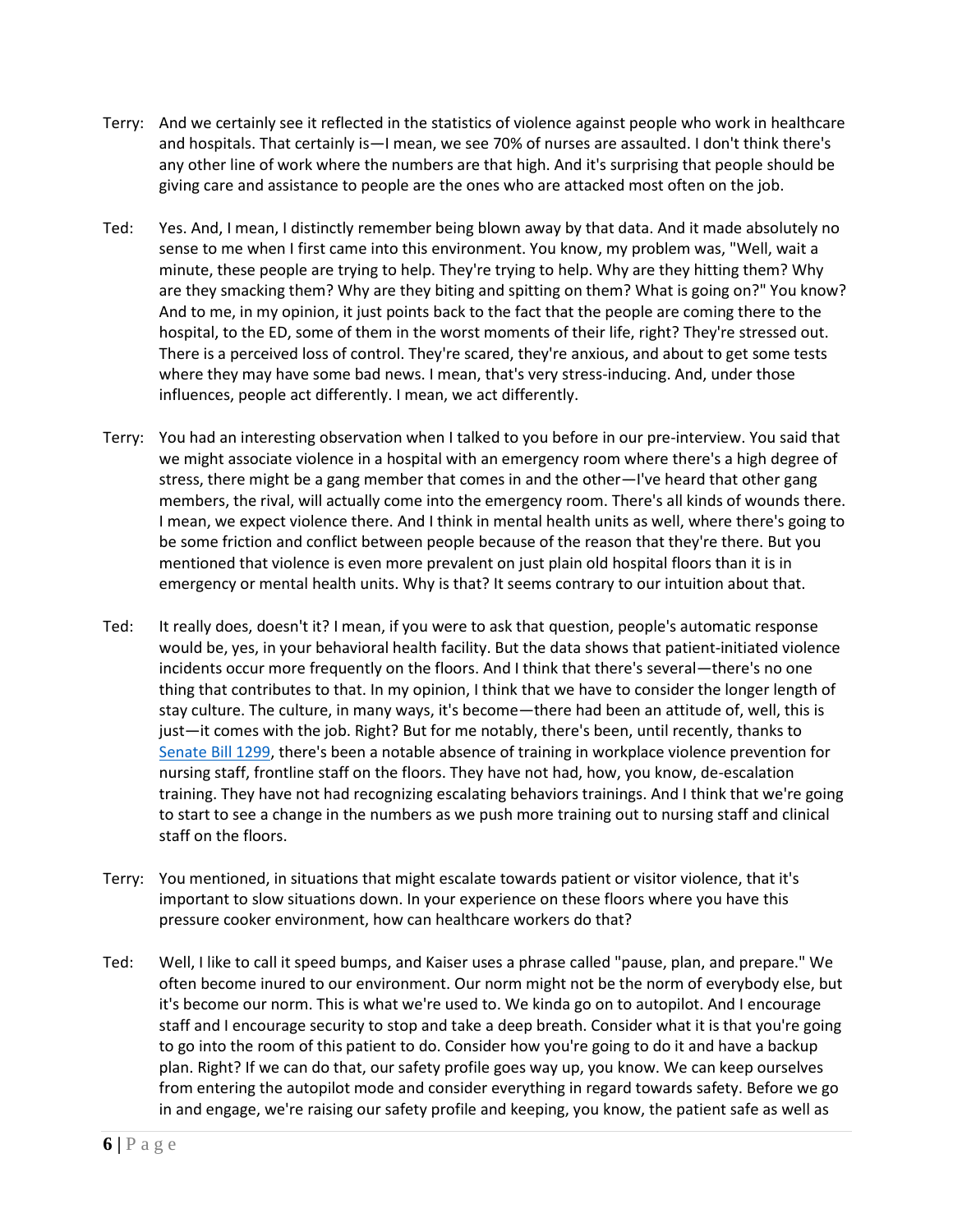- Terry: And we certainly see it reflected in the statistics of violence against people who work in healthcare and hospitals. That certainly is—I mean, we see 70% of nurses are assaulted. I don't think there's any other line of work where the numbers are that high. And it's surprising that people should be giving care and assistance to people are the ones who are attacked most often on the job.
- Ted: Yes. And, I mean, I distinctly remember being blown away by that data. And it made absolutely no sense to me when I first came into this environment. You know, my problem was, "Well, wait a minute, these people are trying to help. They're trying to help. Why are they hitting them? Why are they smacking them? Why are they biting and spitting on them? What is going on?" You know? And to me, in my opinion, it just points back to the fact that the people are coming there to the hospital, to the ED, some of them in the worst moments of their life, right? They're stressed out. There is a perceived loss of control. They're scared, they're anxious, and about to get some tests where they may have some bad news. I mean, that's very stress-inducing. And, under those influences, people act differently. I mean, we act differently.
- Terry: You had an interesting observation when I talked to you before in our pre-interview. You said that we might associate violence in a hospital with an emergency room where there's a high degree of stress, there might be a gang member that comes in and the other—I've heard that other gang members, the rival, will actually come into the emergency room. There's all kinds of wounds there. I mean, we expect violence there. And I think in mental health units as well, where there's going to be some friction and conflict between people because of the reason that they're there. But you mentioned that violence is even more prevalent on just plain old hospital floors than it is in emergency or mental health units. Why is that? It seems contrary to our intuition about that.
- Ted: It really does, doesn't it? I mean, if you were to ask that question, people's automatic response would be, yes, in your behavioral health facility. But the data shows that patient-initiated violence incidents occur more frequently on the floors. And I think that there's several—there's no one thing that contributes to that. In my opinion, I think that we have to consider the longer length of stay culture. The culture, in many ways, it's become—there had been an attitude of, well, this is just—it comes with the job. Right? But for me notably, there's been, until recently, thanks to [Senate Bill 1299,](https://www.premierrisksolutions.com/navigating-complexities-california-sb-1299-mean-states/) there's been a notable absence of training in workplace violence prevention for nursing staff, frontline staff on the floors. They have not had, how, you know, de-escalation training. They have not had recognizing escalating behaviors trainings. And I think that we're going to start to see a change in the numbers as we push more training out to nursing staff and clinical staff on the floors.
- Terry: You mentioned, in situations that might escalate towards patient or visitor violence, that it's important to slow situations down. In your experience on these floors where you have this pressure cooker environment, how can healthcare workers do that?
- Ted: Well, I like to call it speed bumps, and Kaiser uses a phrase called "pause, plan, and prepare." We often become inured to our environment. Our norm might not be the norm of everybody else, but it's become our norm. This is what we're used to. We kinda go on to autopilot. And I encourage staff and I encourage security to stop and take a deep breath. Consider what it is that you're going to go into the room of this patient to do. Consider how you're going to do it and have a backup plan. Right? If we can do that, our safety profile goes way up, you know. We can keep ourselves from entering the autopilot mode and consider everything in regard towards safety. Before we go in and engage, we're raising our safety profile and keeping, you know, the patient safe as well as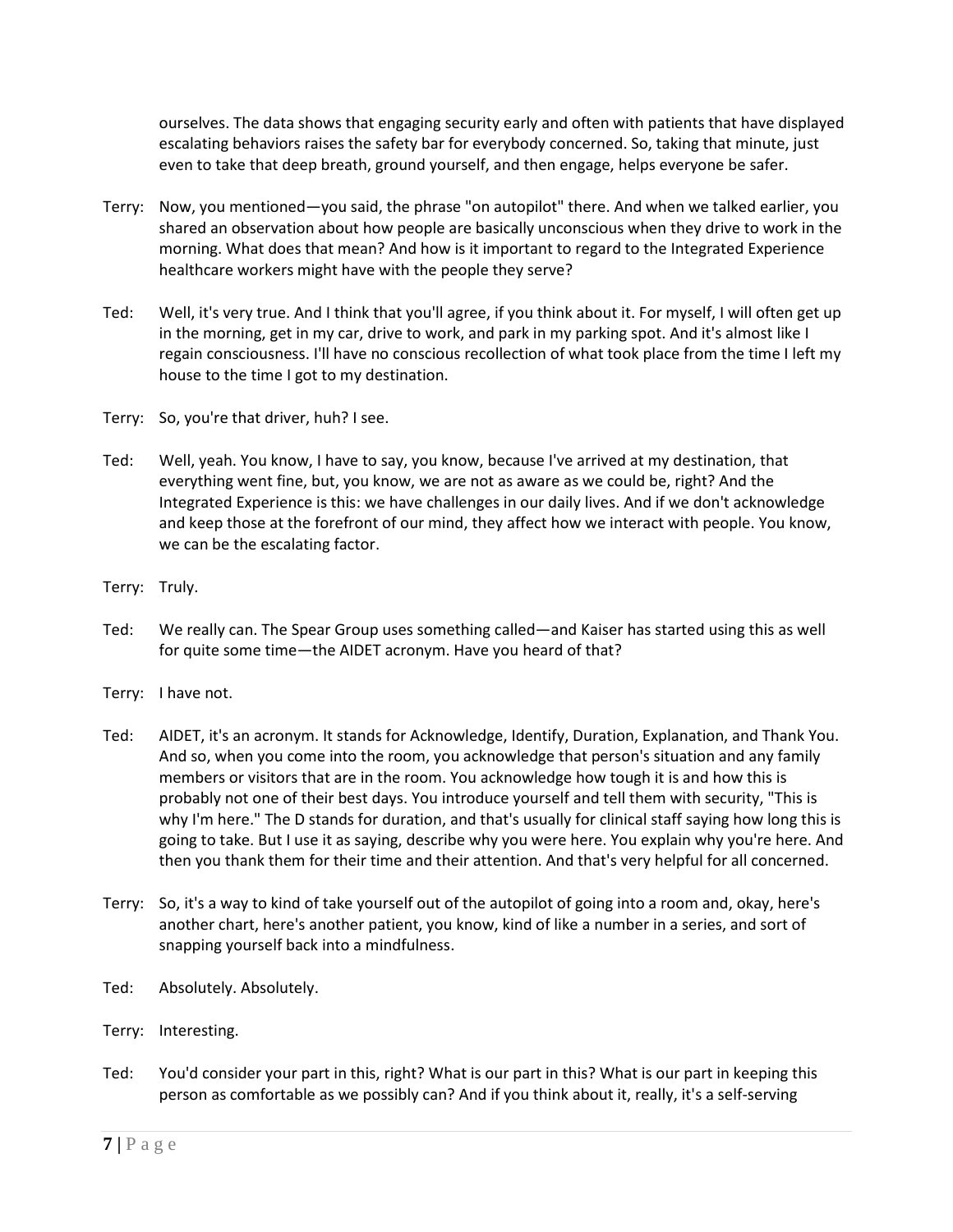ourselves. The data shows that engaging security early and often with patients that have displayed escalating behaviors raises the safety bar for everybody concerned. So, taking that minute, just even to take that deep breath, ground yourself, and then engage, helps everyone be safer.

- Terry: Now, you mentioned—you said, the phrase "on autopilot" there. And when we talked earlier, you shared an observation about how people are basically unconscious when they drive to work in the morning. What does that mean? And how is it important to regard to the Integrated Experience healthcare workers might have with the people they serve?
- Ted: Well, it's very true. And I think that you'll agree, if you think about it. For myself, I will often get up in the morning, get in my car, drive to work, and park in my parking spot. And it's almost like I regain consciousness. I'll have no conscious recollection of what took place from the time I left my house to the time I got to my destination.
- Terry: So, you're that driver, huh? I see.
- Ted: Well, yeah. You know, I have to say, you know, because I've arrived at my destination, that everything went fine, but, you know, we are not as aware as we could be, right? And the Integrated Experience is this: we have challenges in our daily lives. And if we don't acknowledge and keep those at the forefront of our mind, they affect how we interact with people. You know, we can be the escalating factor.
- Terry: Truly.
- Ted: We really can. The Spear Group uses something called—and Kaiser has started using this as well for quite some time—the AIDET acronym. Have you heard of that?
- Terry: I have not.
- Ted: AIDET, it's an acronym. It stands for Acknowledge, Identify, Duration, Explanation, and Thank You. And so, when you come into the room, you acknowledge that person's situation and any family members or visitors that are in the room. You acknowledge how tough it is and how this is probably not one of their best days. You introduce yourself and tell them with security, "This is why I'm here." The D stands for duration, and that's usually for clinical staff saying how long this is going to take. But I use it as saying, describe why you were here. You explain why you're here. And then you thank them for their time and their attention. And that's very helpful for all concerned.
- Terry: So, it's a way to kind of take yourself out of the autopilot of going into a room and, okay, here's another chart, here's another patient, you know, kind of like a number in a series, and sort of snapping yourself back into a mindfulness.
- Ted: Absolutely. Absolutely.
- Terry: Interesting.
- Ted: You'd consider your part in this, right? What is our part in this? What is our part in keeping this person as comfortable as we possibly can? And if you think about it, really, it's a self-serving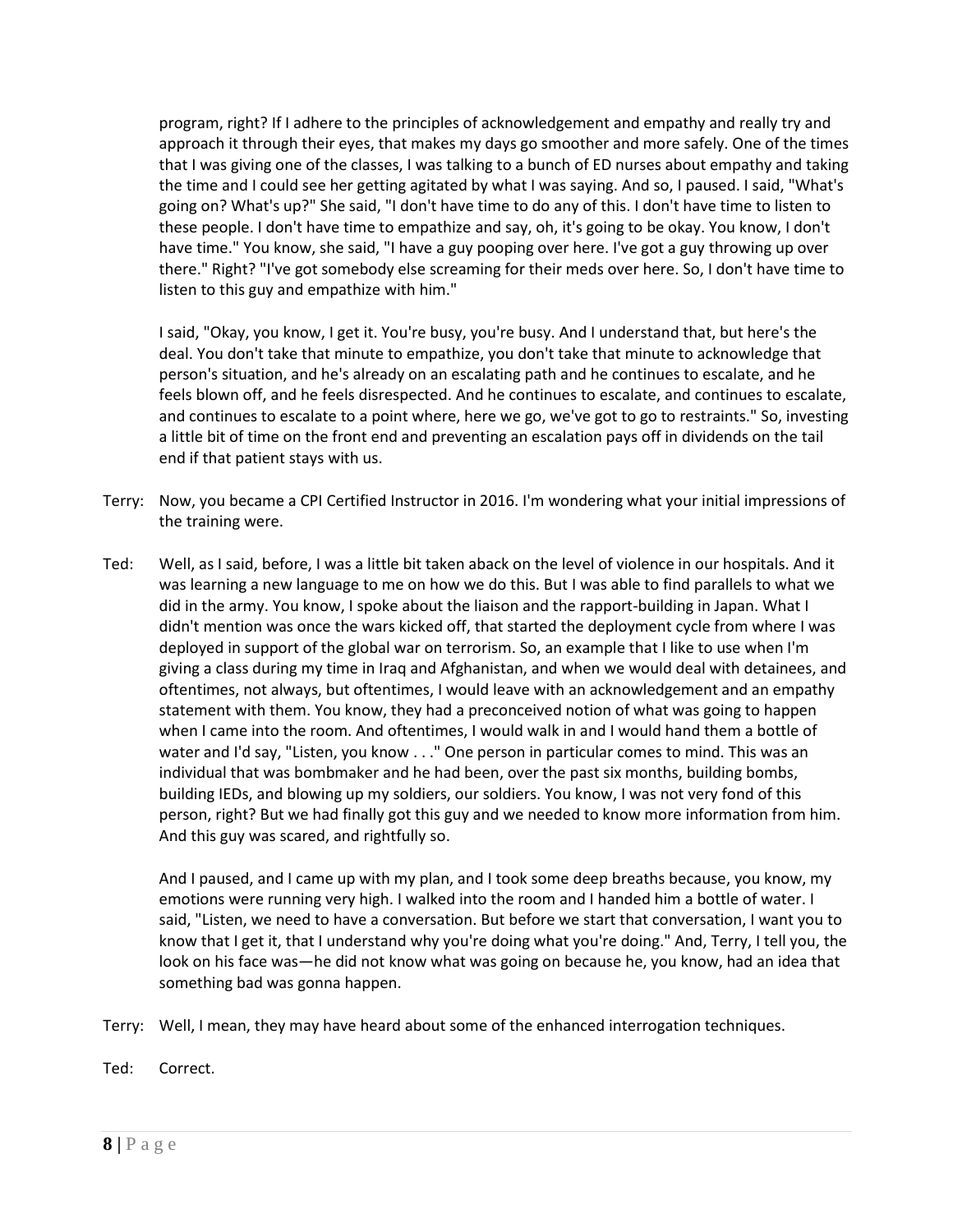program, right? If I adhere to the principles of acknowledgement and empathy and really try and approach it through their eyes, that makes my days go smoother and more safely. One of the times that I was giving one of the classes, I was talking to a bunch of ED nurses about empathy and taking the time and I could see her getting agitated by what I was saying. And so, I paused. I said, "What's going on? What's up?" She said, "I don't have time to do any of this. I don't have time to listen to these people. I don't have time to empathize and say, oh, it's going to be okay. You know, I don't have time." You know, she said, "I have a guy pooping over here. I've got a guy throwing up over there." Right? "I've got somebody else screaming for their meds over here. So, I don't have time to listen to this guy and empathize with him."

I said, "Okay, you know, I get it. You're busy, you're busy. And I understand that, but here's the deal. You don't take that minute to empathize, you don't take that minute to acknowledge that person's situation, and he's already on an escalating path and he continues to escalate, and he feels blown off, and he feels disrespected. And he continues to escalate, and continues to escalate, and continues to escalate to a point where, here we go, we've got to go to restraints." So, investing a little bit of time on the front end and preventing an escalation pays off in dividends on the tail end if that patient stays with us.

- Terry: Now, you became a CPI Certified Instructor in 2016. I'm wondering what your initial impressions of the training were.
- Ted: Well, as I said, before, I was a little bit taken aback on the level of violence in our hospitals. And it was learning a new language to me on how we do this. But I was able to find parallels to what we did in the army. You know, I spoke about the liaison and the rapport-building in Japan. What I didn't mention was once the wars kicked off, that started the deployment cycle from where I was deployed in support of the global war on terrorism. So, an example that I like to use when I'm giving a class during my time in Iraq and Afghanistan, and when we would deal with detainees, and oftentimes, not always, but oftentimes, I would leave with an acknowledgement and an empathy statement with them. You know, they had a preconceived notion of what was going to happen when I came into the room. And oftentimes, I would walk in and I would hand them a bottle of water and I'd say, "Listen, you know . . ." One person in particular comes to mind. This was an individual that was bombmaker and he had been, over the past six months, building bombs, building IEDs, and blowing up my soldiers, our soldiers. You know, I was not very fond of this person, right? But we had finally got this guy and we needed to know more information from him. And this guy was scared, and rightfully so.

And I paused, and I came up with my plan, and I took some deep breaths because, you know, my emotions were running very high. I walked into the room and I handed him a bottle of water. I said, "Listen, we need to have a conversation. But before we start that conversation, I want you to know that I get it, that I understand why you're doing what you're doing." And, Terry, I tell you, the look on his face was—he did not know what was going on because he, you know, had an idea that something bad was gonna happen.

- Terry: Well, I mean, they may have heard about some of the enhanced interrogation techniques.
- Ted: Correct.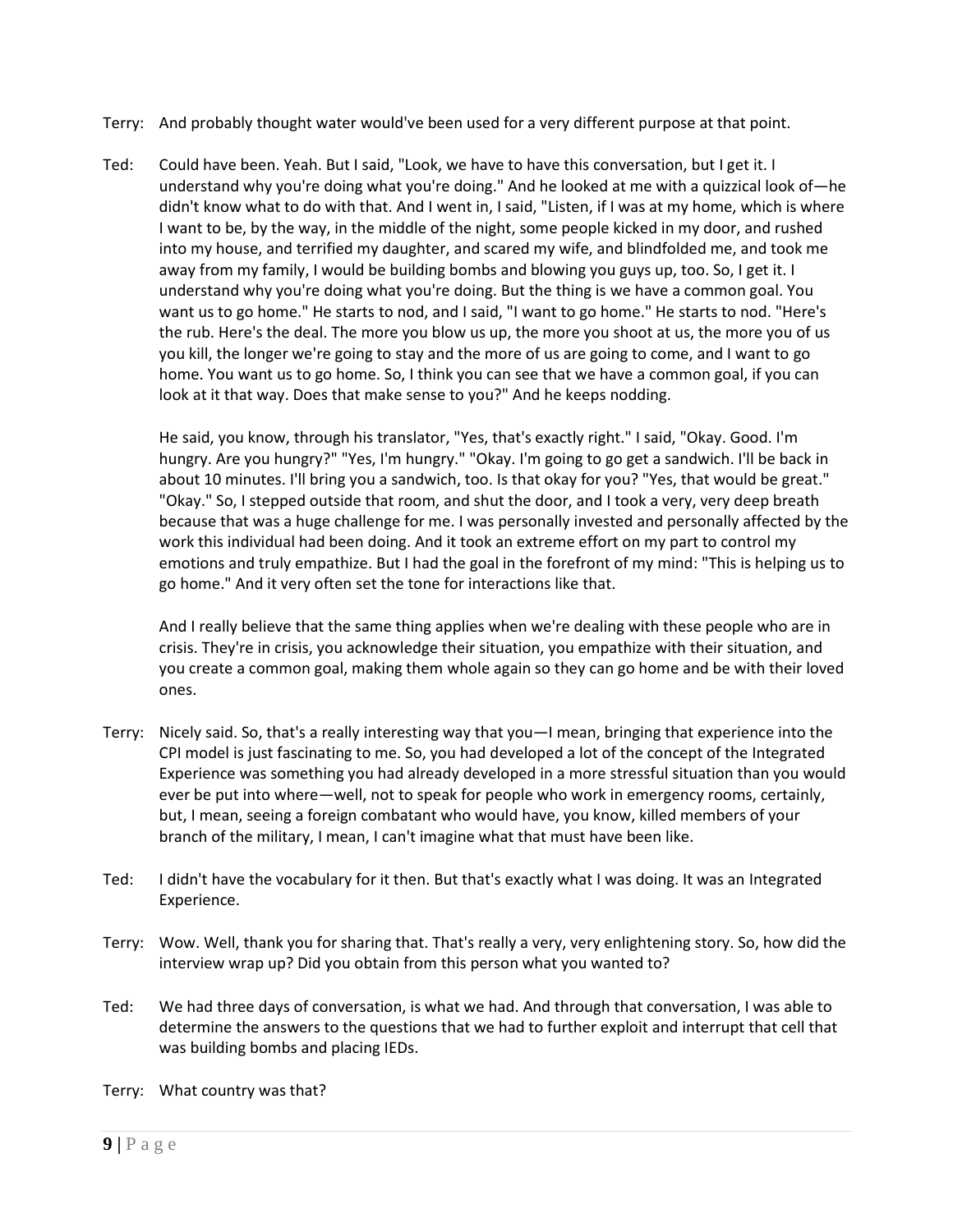- Terry: And probably thought water would've been used for a very different purpose at that point.
- Ted: Could have been. Yeah. But I said, "Look, we have to have this conversation, but I get it. I understand why you're doing what you're doing." And he looked at me with a quizzical look of—he didn't know what to do with that. And I went in, I said, "Listen, if I was at my home, which is where I want to be, by the way, in the middle of the night, some people kicked in my door, and rushed into my house, and terrified my daughter, and scared my wife, and blindfolded me, and took me away from my family, I would be building bombs and blowing you guys up, too. So, I get it. I understand why you're doing what you're doing. But the thing is we have a common goal. You want us to go home." He starts to nod, and I said, "I want to go home." He starts to nod. "Here's the rub. Here's the deal. The more you blow us up, the more you shoot at us, the more you of us you kill, the longer we're going to stay and the more of us are going to come, and I want to go home. You want us to go home. So, I think you can see that we have a common goal, if you can look at it that way. Does that make sense to you?" And he keeps nodding.

He said, you know, through his translator, "Yes, that's exactly right." I said, "Okay. Good. I'm hungry. Are you hungry?" "Yes, I'm hungry." "Okay. I'm going to go get a sandwich. I'll be back in about 10 minutes. I'll bring you a sandwich, too. Is that okay for you? "Yes, that would be great." "Okay." So, I stepped outside that room, and shut the door, and I took a very, very deep breath because that was a huge challenge for me. I was personally invested and personally affected by the work this individual had been doing. And it took an extreme effort on my part to control my emotions and truly empathize. But I had the goal in the forefront of my mind: "This is helping us to go home." And it very often set the tone for interactions like that.

And I really believe that the same thing applies when we're dealing with these people who are in crisis. They're in crisis, you acknowledge their situation, you empathize with their situation, and you create a common goal, making them whole again so they can go home and be with their loved ones.

- Terry: Nicely said. So, that's a really interesting way that you—I mean, bringing that experience into the CPI model is just fascinating to me. So, you had developed a lot of the concept of the Integrated Experience was something you had already developed in a more stressful situation than you would ever be put into where—well, not to speak for people who work in emergency rooms, certainly, but, I mean, seeing a foreign combatant who would have, you know, killed members of your branch of the military, I mean, I can't imagine what that must have been like.
- Ted: I didn't have the vocabulary for it then. But that's exactly what I was doing. It was an Integrated Experience.
- Terry: Wow. Well, thank you for sharing that. That's really a very, very enlightening story. So, how did the interview wrap up? Did you obtain from this person what you wanted to?
- Ted: We had three days of conversation, is what we had. And through that conversation, I was able to determine the answers to the questions that we had to further exploit and interrupt that cell that was building bombs and placing IEDs.
- Terry: What country was that?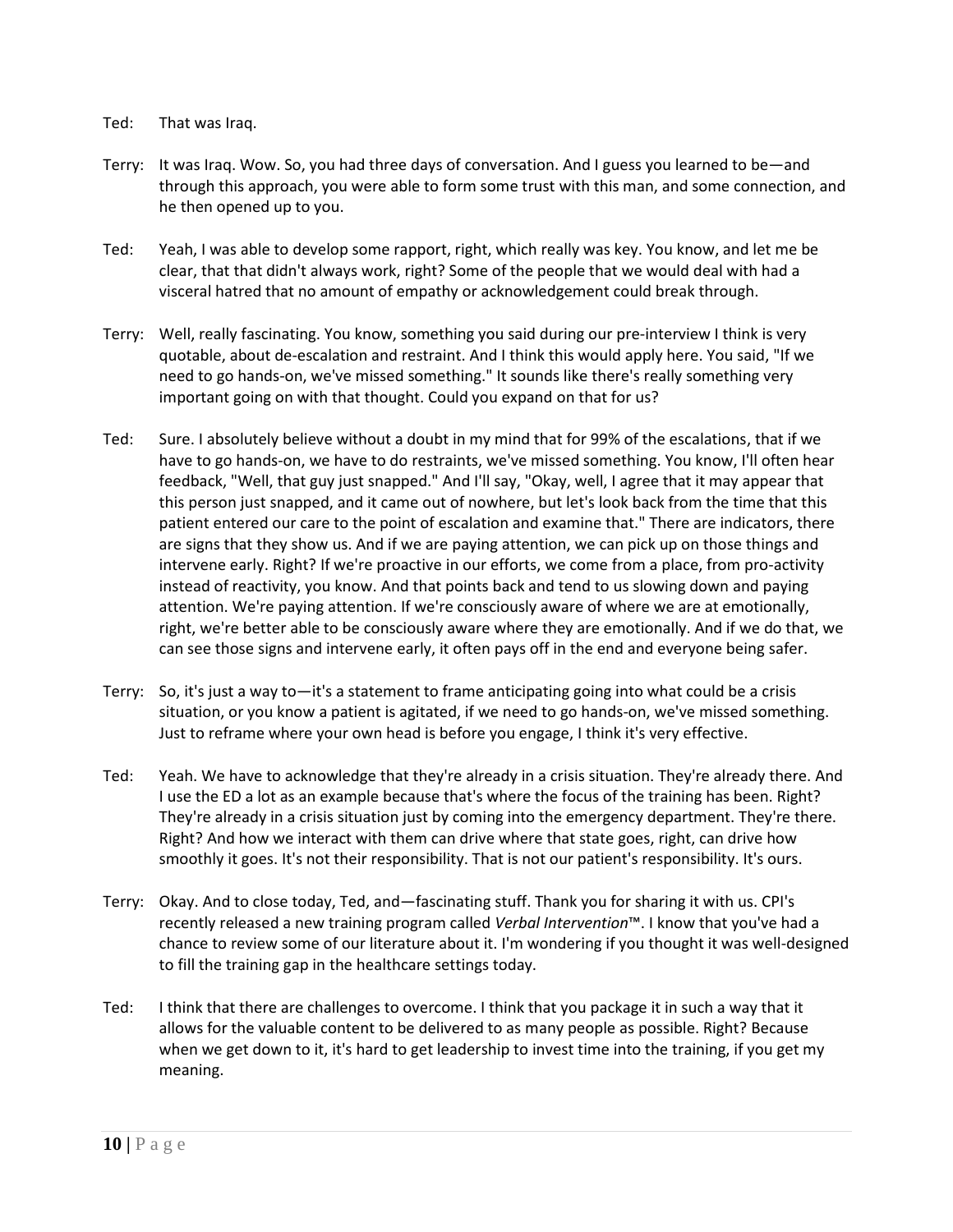## Ted: That was Iraq.

- Terry: It was Iraq. Wow. So, you had three days of conversation. And I guess you learned to be—and through this approach, you were able to form some trust with this man, and some connection, and he then opened up to you.
- Ted: Yeah, I was able to develop some rapport, right, which really was key. You know, and let me be clear, that that didn't always work, right? Some of the people that we would deal with had a visceral hatred that no amount of empathy or acknowledgement could break through.
- Terry: Well, really fascinating. You know, something you said during our pre-interview I think is very quotable, about de-escalation and restraint. And I think this would apply here. You said, "If we need to go hands-on, we've missed something." It sounds like there's really something very important going on with that thought. Could you expand on that for us?
- Ted: Sure. I absolutely believe without a doubt in my mind that for 99% of the escalations, that if we have to go hands-on, we have to do restraints, we've missed something. You know, I'll often hear feedback, "Well, that guy just snapped." And I'll say, "Okay, well, I agree that it may appear that this person just snapped, and it came out of nowhere, but let's look back from the time that this patient entered our care to the point of escalation and examine that." There are indicators, there are signs that they show us. And if we are paying attention, we can pick up on those things and intervene early. Right? If we're proactive in our efforts, we come from a place, from pro-activity instead of reactivity, you know. And that points back and tend to us slowing down and paying attention. We're paying attention. If we're consciously aware of where we are at emotionally, right, we're better able to be consciously aware where they are emotionally. And if we do that, we can see those signs and intervene early, it often pays off in the end and everyone being safer.
- Terry: So, it's just a way to—it's a statement to frame anticipating going into what could be a crisis situation, or you know a patient is agitated, if we need to go hands-on, we've missed something. Just to reframe where your own head is before you engage, I think it's very effective.
- Ted: Yeah. We have to acknowledge that they're already in a crisis situation. They're already there. And I use the ED a lot as an example because that's where the focus of the training has been. Right? They're already in a crisis situation just by coming into the emergency department. They're there. Right? And how we interact with them can drive where that state goes, right, can drive how smoothly it goes. It's not their responsibility. That is not our patient's responsibility. It's ours.
- Terry: Okay. And to close today, Ted, and—fascinating stuff. Thank you for sharing it with us. CPI's recently released a new training program called *Verbal Intervention*™. I know that you've had a chance to review some of our literature about it. I'm wondering if you thought it was well-designed to fill the training gap in the healthcare settings today.
- Ted: I think that there are challenges to overcome. I think that you package it in such a way that it allows for the valuable content to be delivered to as many people as possible. Right? Because when we get down to it, it's hard to get leadership to invest time into the training, if you get my meaning.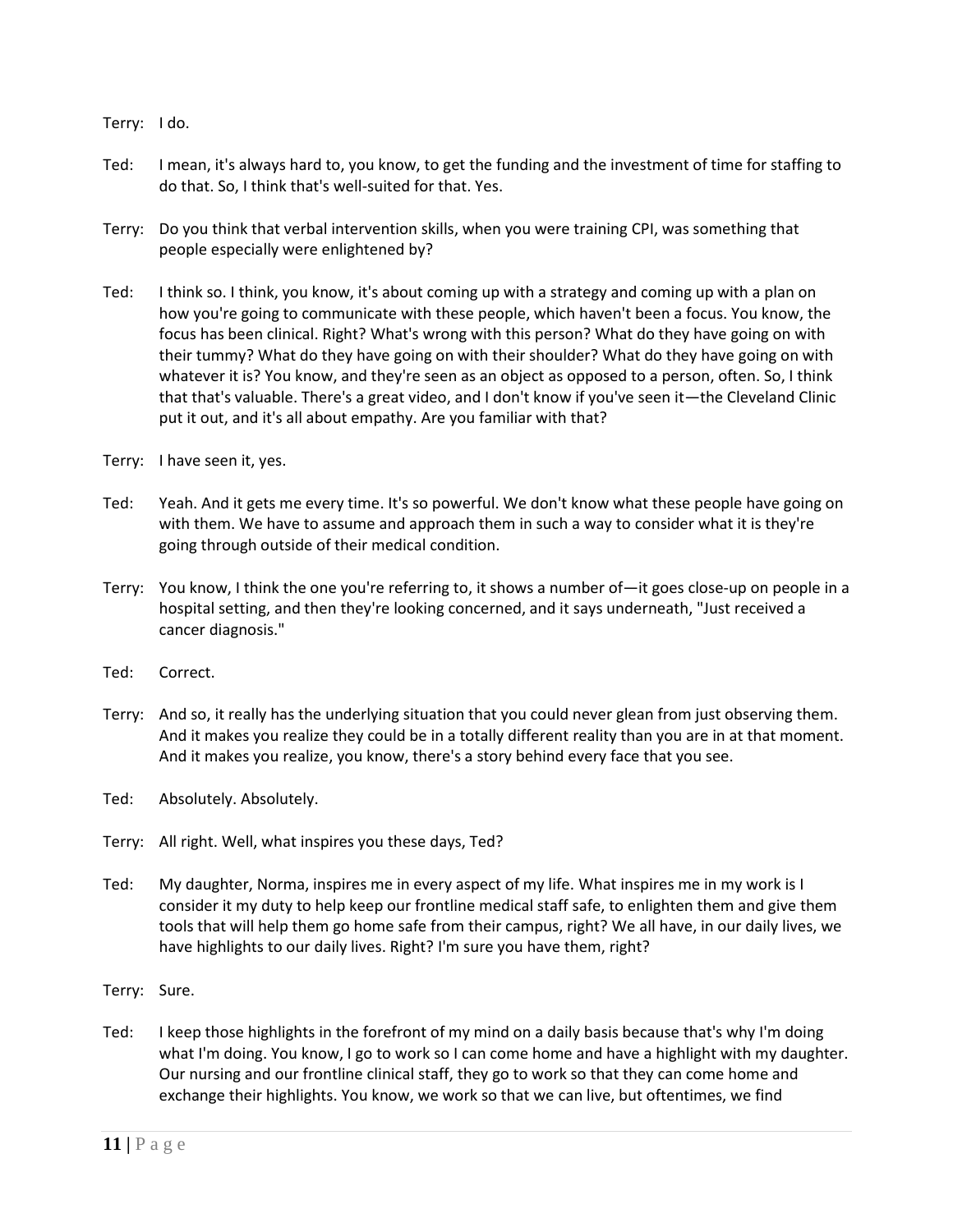Terry: I do.

- Ted: I mean, it's always hard to, you know, to get the funding and the investment of time for staffing to do that. So, I think that's well-suited for that. Yes.
- Terry: Do you think that verbal intervention skills, when you were training CPI, was something that people especially were enlightened by?
- Ted: I think so. I think, you know, it's about coming up with a strategy and coming up with a plan on how you're going to communicate with these people, which haven't been a focus. You know, the focus has been clinical. Right? What's wrong with this person? What do they have going on with their tummy? What do they have going on with their shoulder? What do they have going on with whatever it is? You know, and they're seen as an object as opposed to a person, often. So, I think that that's valuable. There's a great video, and I don't know if you've seen it—the Cleveland Clinic put it out, and it's all about empathy. Are you familiar with that?
- Terry: I have seen it, yes.
- Ted: Yeah. And it gets me every time. It's so powerful. We don't know what these people have going on with them. We have to assume and approach them in such a way to consider what it is they're going through outside of their medical condition.
- Terry: You know, I think the one you're referring to, it shows a number of—it goes close-up on people in a hospital setting, and then they're looking concerned, and it says underneath, "Just received a cancer diagnosis."
- Ted: Correct.
- Terry: And so, it really has the underlying situation that you could never glean from just observing them. And it makes you realize they could be in a totally different reality than you are in at that moment. And it makes you realize, you know, there's a story behind every face that you see.
- Ted: Absolutely. Absolutely.
- Terry: All right. Well, what inspires you these days, Ted?
- Ted: My daughter, Norma, inspires me in every aspect of my life. What inspires me in my work is I consider it my duty to help keep our frontline medical staff safe, to enlighten them and give them tools that will help them go home safe from their campus, right? We all have, in our daily lives, we have highlights to our daily lives. Right? I'm sure you have them, right?
- Terry: Sure.
- Ted: I keep those highlights in the forefront of my mind on a daily basis because that's why I'm doing what I'm doing. You know, I go to work so I can come home and have a highlight with my daughter. Our nursing and our frontline clinical staff, they go to work so that they can come home and exchange their highlights. You know, we work so that we can live, but oftentimes, we find